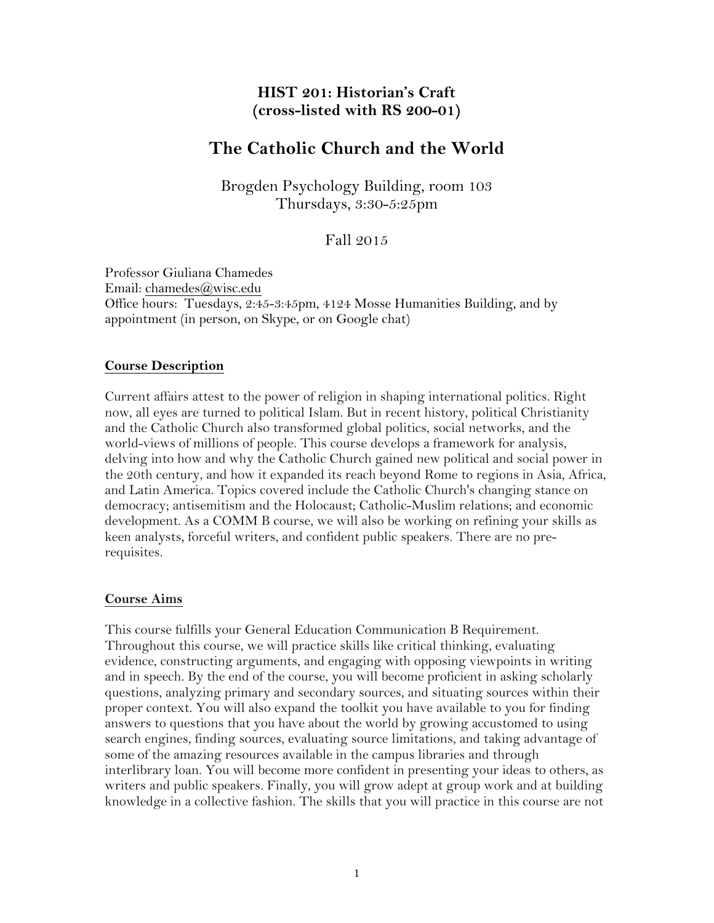# **HIST 201: Historian's Craft (cross-listed with RS 200-01)**

# **The Catholic Church and the World**

Brogden Psychology Building, room 103 Thursdays, 3:30-5:25pm

## Fall 2015

Professor Giuliana Chamedes Email: chamedes@wisc.edu Office hours: Tuesdays, 2:45-3:45pm, 4124 Mosse Humanities Building, and by appointment (in person, on Skype, or on Google chat)

### **Course Description**

Current affairs attest to the power of religion in shaping international politics. Right now, all eyes are turned to political Islam. But in recent history, political Christianity and the Catholic Church also transformed global politics, social networks, and the world-views of millions of people. This course develops a framework for analysis, delving into how and why the Catholic Church gained new political and social power in the 20th century, and how it expanded its reach beyond Rome to regions in Asia, Africa, and Latin America. Topics covered include the Catholic Church's changing stance on democracy; antisemitism and the Holocaust; Catholic-Muslim relations; and economic development. As a COMM B course, we will also be working on refining your skills as keen analysts, forceful writers, and confident public speakers. There are no prerequisites.

### **Course Aims**

This course fulfills your General Education Communication B Requirement. Throughout this course, we will practice skills like critical thinking, evaluating evidence, constructing arguments, and engaging with opposing viewpoints in writing and in speech. By the end of the course, you will become proficient in asking scholarly questions, analyzing primary and secondary sources, and situating sources within their proper context. You will also expand the toolkit you have available to you for finding answers to questions that you have about the world by growing accustomed to using search engines, finding sources, evaluating source limitations, and taking advantage of some of the amazing resources available in the campus libraries and through interlibrary loan. You will become more confident in presenting your ideas to others, as writers and public speakers. Finally, you will grow adept at group work and at building knowledge in a collective fashion. The skills that you will practice in this course are not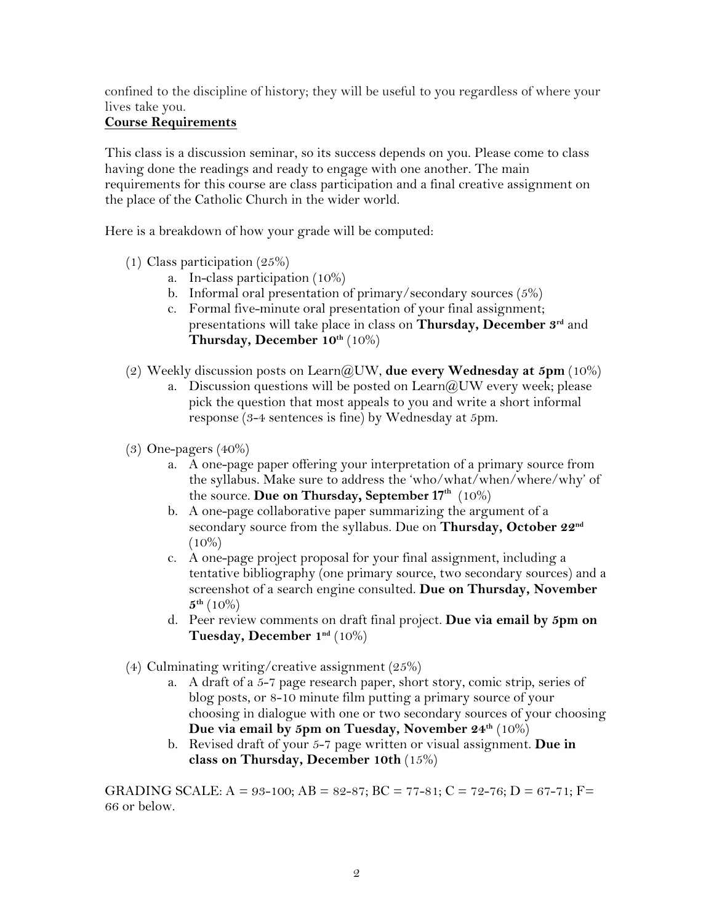confined to the discipline of history; they will be useful to you regardless of where your lives take you.

## **Course Requirements**

This class is a discussion seminar, so its success depends on you. Please come to class having done the readings and ready to engage with one another. The main requirements for this course are class participation and a final creative assignment on the place of the Catholic Church in the wider world.

Here is a breakdown of how your grade will be computed:

- (1) Class participation (25%)
	- a. In-class participation (10%)
	- b. Informal oral presentation of primary/secondary sources (5%)
	- c. Formal five-minute oral presentation of your final assignment; presentations will take place in class on **Thursday, December 3rd** and **Thursday, December 10th** (10%)
- (2) Weekly discussion posts on Learn@UW, **due every Wednesday at 5pm** (10%)
	- a. Discussion questions will be posted on  $\text{Learn}(\partial UW)$  every week; please pick the question that most appeals to you and write a short informal response (3-4 sentences is fine) by Wednesday at 5pm.
- (3) One-pagers (40%)
	- a. A one-page paper offering your interpretation of a primary source from the syllabus. Make sure to address the 'who/what/when/where/why' of the source. **Due on Thursday, September 17<sup>th</sup>** (10%)
	- b. A one-page collaborative paper summarizing the argument of a secondary source from the syllabus. Due on **Thursday, October 22nd**  $(10\%)$
	- c. A one-page project proposal for your final assignment, including a tentative bibliography (one primary source, two secondary sources) and a screenshot of a search engine consulted. **Due on Thursday, November 5th** (10%)
	- d. Peer review comments on draft final project. **Due via email by 5pm on Tuesday, December 1nd** (10%)
- (4) Culminating writing/creative assignment (25%)
	- a. A draft of a 5-7 page research paper, short story, comic strip, series of blog posts, or 8-10 minute film putting a primary source of your choosing in dialogue with one or two secondary sources of your choosing **Due via email by 5pm on Tuesday, November 24th** (10%)
	- b. Revised draft of your 5-7 page written or visual assignment. **Due in class on Thursday, December 10th** (15%)

GRADING SCALE:  $A = 93-100$ ;  $AB = 82-87$ ;  $BC = 77-81$ ;  $C = 72-76$ ;  $D = 67-71$ ;  $F=$ 66 or below.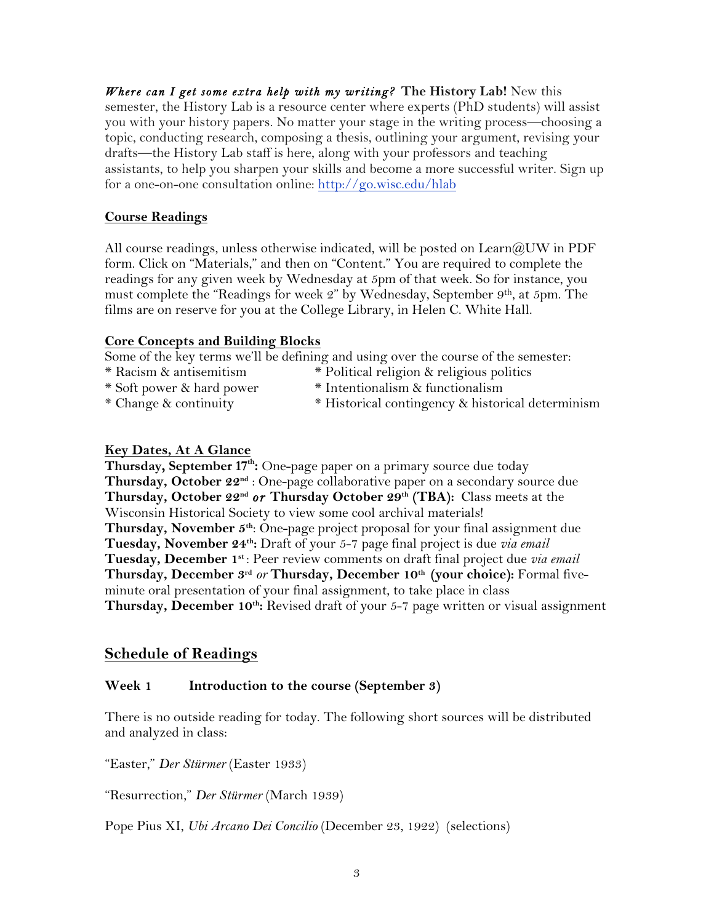*Where can I get some extra help with my writing?* **The History Lab!** New this semester, the History Lab is a resource center where experts (PhD students) will assist you with your history papers. No matter your stage in the writing process—choosing a topic, conducting research, composing a thesis, outlining your argument, revising your drafts—the History Lab staff is here, along with your professors and teaching assistants, to help you sharpen your skills and become a more successful writer. Sign up for a one-on-one consultation online: http://go.wisc.edu/hlab

### **Course Readings**

All course readings, unless otherwise indicated, will be posted on Learn@UW in PDF form. Click on "Materials," and then on "Content." You are required to complete the readings for any given week by Wednesday at 5pm of that week. So for instance, you must complete the "Readings for week 2" by Wednesday, September 9<sup>th</sup>, at 5pm. The films are on reserve for you at the College Library, in Helen C. White Hall.

### **Core Concepts and Building Blocks**

Some of the key terms we'll be defining and using over the course of the semester:

- \* Racism & antisemitism \* Political religion & religious politics
	-
- 
- \* Soft power & hard power \* Intentionalism & functionalism
	-
- \* Change & continuity \* Historical contingency & historical determinism

## **Key Dates, At A Glance**

**Thursday, September 17<sup>th</sup>:** One-page paper on a primary source due today **Thursday, October 22nd** : One-page collaborative paper on a secondary source due **Thursday, October 22nd** *or* **Thursday October 29th (TBA):** Class meets at the Wisconsin Historical Society to view some cool archival materials! Thursday, November 5<sup>th</sup>: One-page project proposal for your final assignment due **Tuesday, November 24th:** Draft of your 5-7 page final project is due *via email* **Tuesday, December 1st** : Peer review comments on draft final project due *via email*  **Thursday, December 3rd** *or* **Thursday, December 10th (your choice):** Formal fiveminute oral presentation of your final assignment, to take place in class Thursday, December 10<sup>th</sup>: Revised draft of your 5-7 page written or visual assignment

## **Schedule of Readings**

### **Week 1 Introduction to the course (September 3)**

There is no outside reading for today. The following short sources will be distributed and analyzed in class:

"Easter," *Der Stürmer* (Easter 1933)

"Resurrection," *Der Stürmer* (March 1939)

Pope Pius XI, *Ubi Arcano Dei Concilio* (December 23, 1922) (selections)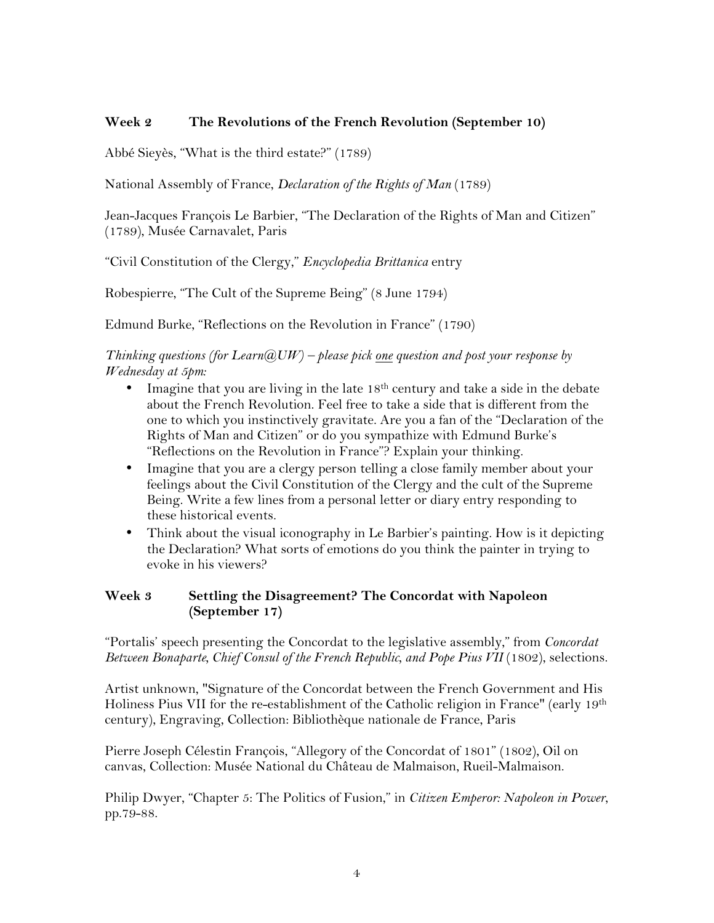### **Week 2 The Revolutions of the French Revolution (September 10)**

Abbé Sieyès, "What is the third estate?" (1789)

National Assembly of France, *Declaration of the Rights of Man* (1789)

Jean-Jacques François Le Barbier, "The Declaration of the Rights of Man and Citizen" (1789), Musée Carnavalet, Paris

"Civil Constitution of the Clergy," *Encyclopedia Brittanica* entry

Robespierre, "The Cult of the Supreme Being" (8 June 1794)

Edmund Burke, "Reflections on the Revolution in France" (1790)

#### *Thinking questions (for Learn@UW) – please pick one question and post your response by Wednesday at 5pm:*

- Imagine that you are living in the late  $18<sup>th</sup>$  century and take a side in the debate about the French Revolution. Feel free to take a side that is different from the one to which you instinctively gravitate. Are you a fan of the "Declaration of the Rights of Man and Citizen" or do you sympathize with Edmund Burke's "Reflections on the Revolution in France"? Explain your thinking.
- Imagine that you are a clergy person telling a close family member about your feelings about the Civil Constitution of the Clergy and the cult of the Supreme Being. Write a few lines from a personal letter or diary entry responding to these historical events.
- Think about the visual iconography in Le Barbier's painting. How is it depicting the Declaration? What sorts of emotions do you think the painter in trying to evoke in his viewers?

### **Week 3 Settling the Disagreement? The Concordat with Napoleon (September 17)**

"Portalis' speech presenting the Concordat to the legislative assembly," from *Concordat Between Bonaparte, Chief Consul of the French Republic, and Pope Pius VII* (1802), selections.

Artist unknown, "Signature of the Concordat between the French Government and His Holiness Pius VII for the re-establishment of the Catholic religion in France" (early 19<sup>th</sup>) century), Engraving, Collection: Bibliothèque nationale de France, Paris

Pierre Joseph Célestin François, "Allegory of the Concordat of 1801" (1802), Oil on canvas, Collection: Musée National du Château de Malmaison, Rueil-Malmaison.

Philip Dwyer, "Chapter 5: The Politics of Fusion," in *Citizen Emperor: Napoleon in Power*, pp.79-88.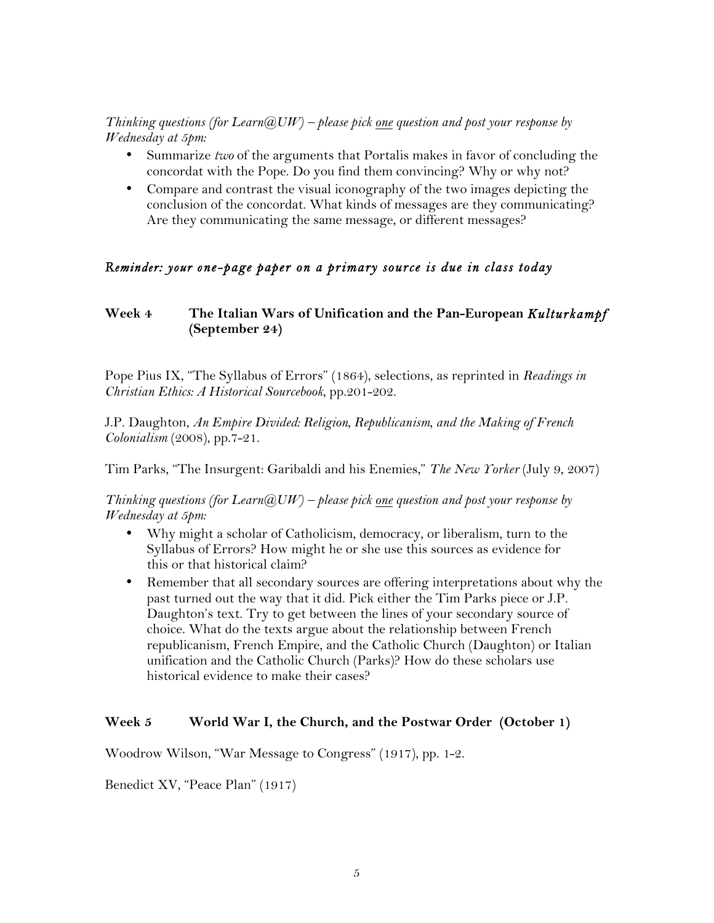## *Thinking questions (for Learn@UW) – please pick one question and post your response by Wednesday at 5pm:*

- Summarize *two* of the arguments that Portalis makes in favor of concluding the concordat with the Pope. Do you find them convincing? Why or why not?
- Compare and contrast the visual iconography of the two images depicting the conclusion of the concordat. What kinds of messages are they communicating? Are they communicating the same message, or different messages?

## *Reminder: your one-page paper on a primary source is due in class today*

### **Week 4 The Italian Wars of Unification and the Pan-European** *Kulturkampf*  **(September 24)**

Pope Pius IX, "The Syllabus of Errors" (1864), selections, as reprinted in *Readings in Christian Ethics: A Historical Sourcebook*, pp.201-202.

J.P. Daughton, *An Empire Divided: Religion, Republicanism, and the Making of French Colonialism* (2008), pp.7-21.

Tim Parks, "The Insurgent: Garibaldi and his Enemies," *The New Yorker* (July 9, 2007)

*Thinking questions (for Learn@UW) – please pick one question and post your response by Wednesday at 5pm:* 

- Why might a scholar of Catholicism, democracy, or liberalism, turn to the Syllabus of Errors? How might he or she use this sources as evidence for this or that historical claim?
- Remember that all secondary sources are offering interpretations about why the past turned out the way that it did. Pick either the Tim Parks piece or J.P. Daughton's text. Try to get between the lines of your secondary source of choice. What do the texts argue about the relationship between French republicanism, French Empire, and the Catholic Church (Daughton) or Italian unification and the Catholic Church (Parks)? How do these scholars use historical evidence to make their cases?

### **Week 5 World War I, the Church, and the Postwar Order (October 1)**

Woodrow Wilson, "War Message to Congress" (1917), pp. 1-2.

Benedict XV, "Peace Plan" (1917)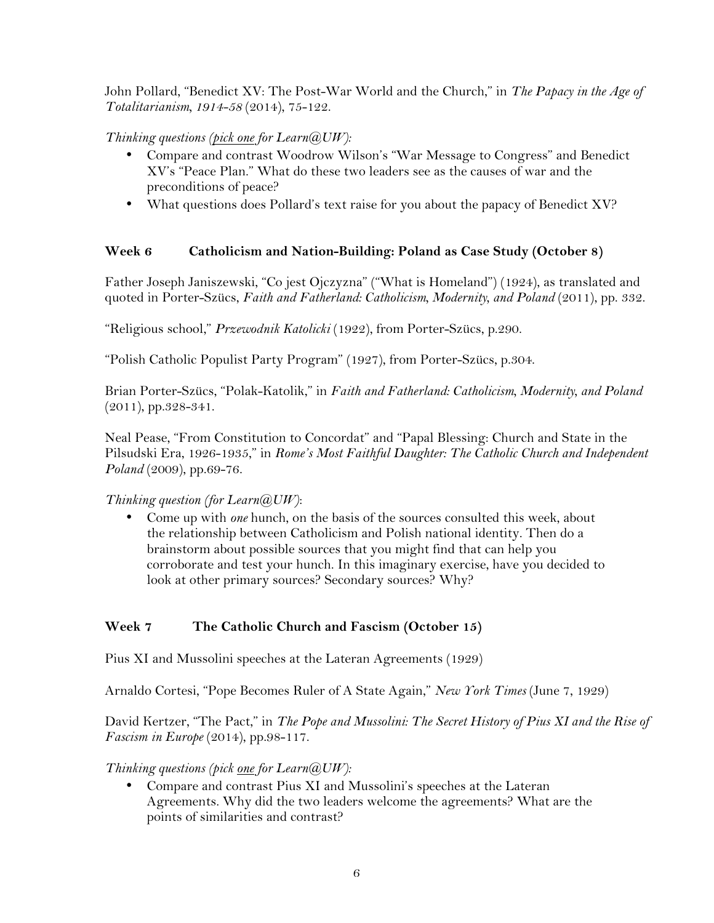John Pollard, "Benedict XV: The Post-War World and the Church," in *The Papacy in the Age of Totalitarianism, 1914-58* (2014), 75-122.

## *Thinking questions (pick one for Learn@UW):*

- Compare and contrast Woodrow Wilson's "War Message to Congress" and Benedict XV's "Peace Plan." What do these two leaders see as the causes of war and the preconditions of peace?
- What questions does Pollard's text raise for you about the papacy of Benedict XV?

## **Week 6 Catholicism and Nation-Building: Poland as Case Study (October 8)**

Father Joseph Janiszewski, "Co jest Ojczyzna" ("What is Homeland") (1924), as translated and quoted in Porter-Szücs, *Faith and Fatherland: Catholicism*, *Modernity, and Poland* (2011), pp. 332.

"Religious school," *Przewodnik Katolicki* (1922), from Porter-Szücs, p.290.

"Polish Catholic Populist Party Program" (1927), from Porter-Szücs, p.304.

Brian Porter-Szücs, "Polak-Katolik," in *Faith and Fatherland: Catholicism, Modernity, and Poland*  (2011), pp.328-341.

Neal Pease, "From Constitution to Concordat" and "Papal Blessing: Church and State in the Pilsudski Era, 1926-1935," in *Rome's Most Faithful Daughter: The Catholic Church and Independent Poland* (2009), pp.69-76.

## *Thinking question (for Learn@UW)*:

• Come up with *one* hunch, on the basis of the sources consulted this week, about the relationship between Catholicism and Polish national identity. Then do a brainstorm about possible sources that you might find that can help you corroborate and test your hunch. In this imaginary exercise, have you decided to look at other primary sources? Secondary sources? Why?

## **Week 7 The Catholic Church and Fascism (October 15)**

Pius XI and Mussolini speeches at the Lateran Agreements (1929)

Arnaldo Cortesi, "Pope Becomes Ruler of A State Again," *New York Times* (June 7, 1929)

David Kertzer, "The Pact," in *The Pope and Mussolini: The Secret History of Pius XI and the Rise of Fascism in Europe* (2014), pp.98-117.

### *Thinking questions (pick one for Learn@UW):*

• Compare and contrast Pius XI and Mussolini's speeches at the Lateran Agreements. Why did the two leaders welcome the agreements? What are the points of similarities and contrast?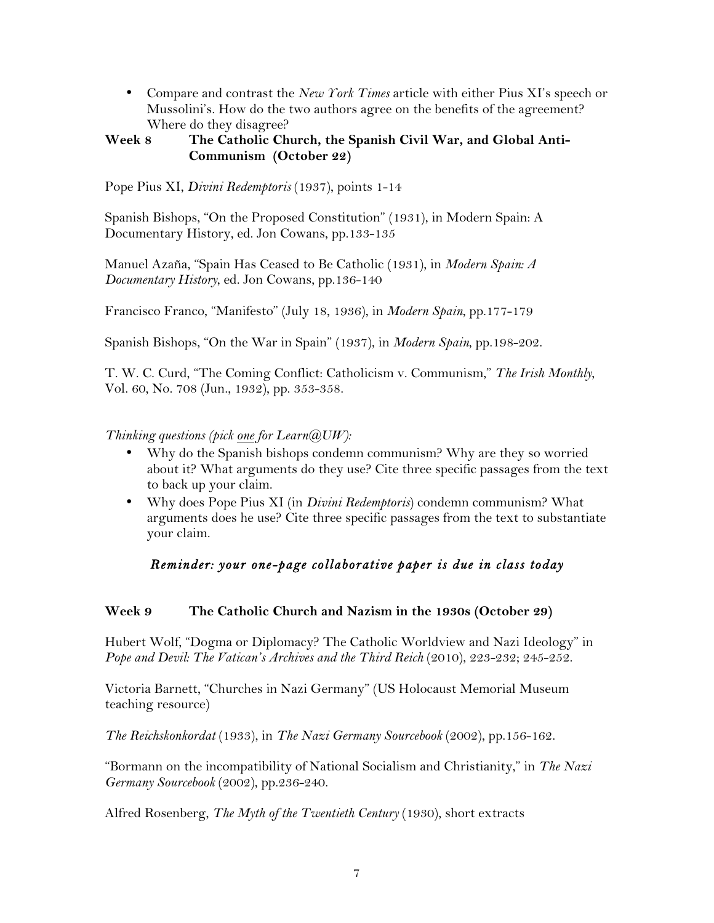• Compare and contrast the *New York Times* article with either Pius XI's speech or Mussolini's. How do the two authors agree on the benefits of the agreement? Where do they disagree?

#### **Week 8 The Catholic Church, the Spanish Civil War, and Global Anti-Communism (October 22)**

Pope Pius XI, *Divini Redemptoris* (1937), points 1-14

Spanish Bishops, "On the Proposed Constitution" (1931), in Modern Spain: A Documentary History, ed. Jon Cowans, pp.133-135

Manuel Azaña, "Spain Has Ceased to Be Catholic (1931), in *Modern Spain: A Documentary History*, ed. Jon Cowans, pp.136-140

Francisco Franco, "Manifesto" (July 18, 1936), in *Modern Spain*, pp.177-179

Spanish Bishops, "On the War in Spain" (1937), in *Modern Spain*, pp.198-202.

T. W. C. Curd, "The Coming Conflict: Catholicism v. Communism," *The Irish Monthly*, Vol. 60, No. 708 (Jun., 1932), pp. 353-358.

*Thinking questions (pick one for Learn@UW):*

- Why do the Spanish bishops condemn communism? Why are they so worried about it? What arguments do they use? Cite three specific passages from the text to back up your claim.
- Why does Pope Pius XI (in *Divini Redemptoris*) condemn communism? What arguments does he use? Cite three specific passages from the text to substantiate your claim.

### *Reminder: your one-page collaborative paper is due in class today*

#### **Week 9 The Catholic Church and Nazism in the 1930s (October 29)**

Hubert Wolf, "Dogma or Diplomacy? The Catholic Worldview and Nazi Ideology" in *Pope and Devil: The Vatican's Archives and the Third Reich* (2010), 223-232; 245-252.

Victoria Barnett, "Churches in Nazi Germany" (US Holocaust Memorial Museum teaching resource)

*The Reichskonkordat* (1933), in *The Nazi Germany Sourcebook* (2002), pp.156-162.

"Bormann on the incompatibility of National Socialism and Christianity," in *The Nazi Germany Sourcebook* (2002), pp.236-240.

Alfred Rosenberg, *The Myth of the Twentieth Century* (1930), short extracts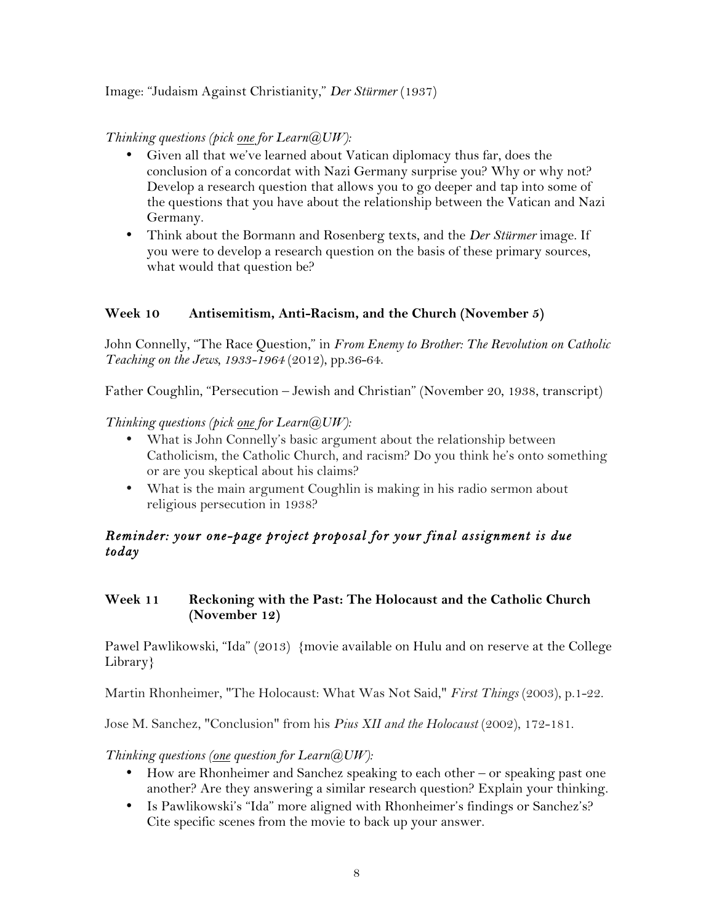## Image: "Judaism Against Christianity," *Der Stürmer* (1937)

## *Thinking questions (pick one for Learn@UW):*

- Given all that we've learned about Vatican diplomacy thus far, does the conclusion of a concordat with Nazi Germany surprise you? Why or why not? Develop a research question that allows you to go deeper and tap into some of the questions that you have about the relationship between the Vatican and Nazi Germany.
- Think about the Bormann and Rosenberg texts, and the *Der Stürmer* image. If you were to develop a research question on the basis of these primary sources, what would that question be?

## **Week 10 Antisemitism, Anti-Racism, and the Church (November 5)**

John Connelly, "The Race Question," in *From Enemy to Brother: The Revolution on Catholic Teaching on the Jews, 1933-1964* (2012), pp.36-64.

Father Coughlin, "Persecution – Jewish and Christian" (November 20, 1938, transcript)

*Thinking questions (pick one for Learn@UW):* 

- What is John Connelly's basic argument about the relationship between Catholicism, the Catholic Church, and racism? Do you think he's onto something or are you skeptical about his claims?
- What is the main argument Coughlin is making in his radio sermon about religious persecution in 1938?

## *Reminder: your one-page project proposal for your final assignment is due today*

## **Week 11 Reckoning with the Past: The Holocaust and the Catholic Church (November 12)**

Pawel Pawlikowski, "Ida" (2013) {movie available on Hulu and on reserve at the College Library}

Martin Rhonheimer, "The Holocaust: What Was Not Said," *First Things* (2003), p.1-22.

Jose M. Sanchez, "Conclusion" from his *Pius XII and the Holocaust* (2002), 172-181.

### *Thinking questions (one question for Learn@UW):*

- How are Rhonheimer and Sanchez speaking to each other or speaking past one another? Are they answering a similar research question? Explain your thinking.
- Is Pawlikowski's "Ida" more aligned with Rhonheimer's findings or Sanchez's? Cite specific scenes from the movie to back up your answer.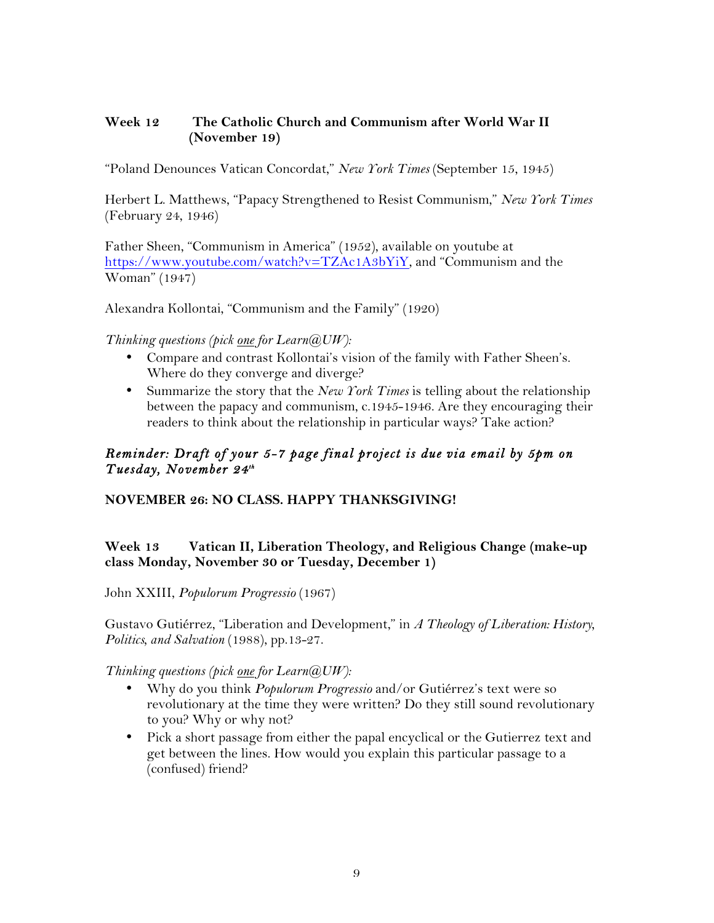## **Week 12 The Catholic Church and Communism after World War II (November 19)**

"Poland Denounces Vatican Concordat," *New York Times* (September 15, 1945)

Herbert L. Matthews, "Papacy Strengthened to Resist Communism," *New York Times*  (February 24, 1946)

Father Sheen, "Communism in America" (1952), available on youtube at https://www.youtube.com/watch?v=TZAc1A3bYiY, and "Communism and the Woman" (1947)

Alexandra Kollontai, "Communism and the Family" (1920)

*Thinking questions (pick one for Learn@UW):*

- Compare and contrast Kollontai's vision of the family with Father Sheen's. Where do they converge and diverge?
- Summarize the story that the *New York Times* is telling about the relationship between the papacy and communism, c.1945-1946. Are they encouraging their readers to think about the relationship in particular ways? Take action?

## *Reminder: Draft of your 5-7 page final project is due via email by 5pm on Tuesday, November 24th*

### **NOVEMBER 26: NO CLASS. HAPPY THANKSGIVING!**

## **Week 13 Vatican II, Liberation Theology, and Religious Change (make-up class Monday, November 30 or Tuesday, December 1)**

John XXIII, *Populorum Progressio* (1967)

Gustavo Gutiérrez, "Liberation and Development," in *A Theology of Liberation: History, Politics, and Salvation* (1988), pp.13-27.

#### *Thinking questions (pick one for Learn@UW):*

- Why do you think *Populorum Progressio* and/or Gutiérrez's text were so revolutionary at the time they were written? Do they still sound revolutionary to you? Why or why not?
- Pick a short passage from either the papal encyclical or the Gutierrez text and get between the lines. How would you explain this particular passage to a (confused) friend?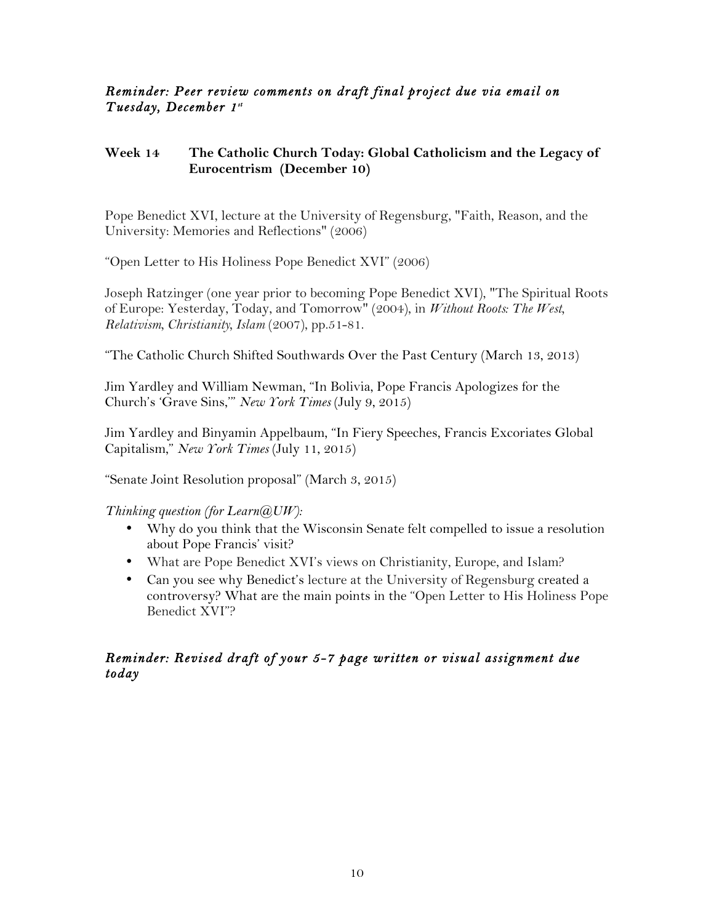## *Reminder: Peer review comments on draft final project due via email on Tuesday, December 1st*

## **Week 14 The Catholic Church Today: Global Catholicism and the Legacy of Eurocentrism (December 10)**

Pope Benedict XVI, lecture at the University of Regensburg, "Faith, Reason, and the University: Memories and Reflections" (2006)

"Open Letter to His Holiness Pope Benedict XVI" (2006)

Joseph Ratzinger (one year prior to becoming Pope Benedict XVI), "The Spiritual Roots of Europe: Yesterday, Today, and Tomorrow" (2004), in *Without Roots: The West, Relativism, Christianity, Islam* (2007), pp.51-81.

"The Catholic Church Shifted Southwards Over the Past Century (March 13, 2013)

Jim Yardley and William Newman, "In Bolivia, Pope Francis Apologizes for the Church's 'Grave Sins,'" *New York Times* (July 9, 2015)

Jim Yardley and Binyamin Appelbaum, "In Fiery Speeches, Francis Excoriates Global Capitalism," *New York Times* (July 11, 2015)

"Senate Joint Resolution proposal" (March 3, 2015)

*Thinking question (for Learn@UW):*

- Why do you think that the Wisconsin Senate felt compelled to issue a resolution about Pope Francis' visit?
- What are Pope Benedict XVI's views on Christianity, Europe, and Islam?
- Can you see why Benedict's lecture at the University of Regensburg created a controversy? What are the main points in the "Open Letter to His Holiness Pope Benedict XVI"?

## *Reminder: Revised draft of your 5-7 page written or visual assignment due today*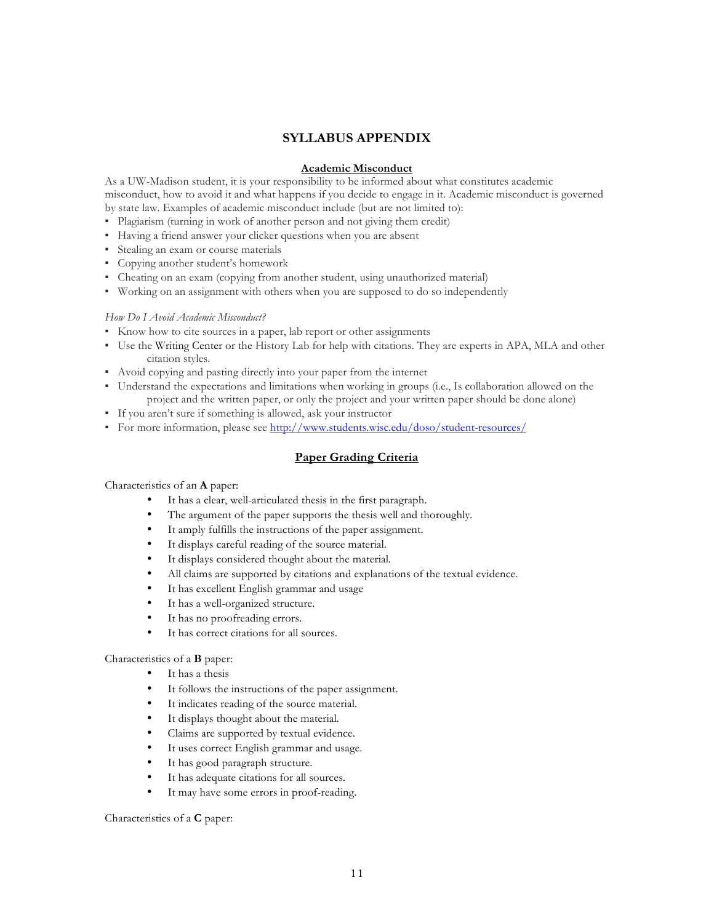### **SYLLABUS APPENDIX**

#### **Academic Misconduct**

As a UW-Madison student, it is your responsibility to be informed about what constitutes academic misconduct, how to avoid it and what happens if you decide to engage in it. Academic misconduct is governed by state law. Examples of academic misconduct include (but are not limited to):

- Plagiarism (turning in work of another person and not giving them credit)
- Having a friend answer your clicker questions when you are absent
- Stealing an exam or course materials
- Copying another student's homework
- Cheating on an exam (copying from another student, using unauthorized material)
- Working on an assignment with others when you are supposed to do so independently

#### *How Do I Avoid Academic Misconduct?*

- Know how to cite sources in a paper, lab report or other assignments
- Use the Writing Center or the History Lab for help with citations. They are experts in APA, MLA and other citation styles.
- Avoid copying and pasting directly into your paper from the internet
- Understand the expectations and limitations when working in groups (i.e., Is collaboration allowed on the project and the written paper, or only the project and your written paper should be done alone)
- If you aren't sure if something is allowed, ask your instructor
- For more information, please see http://www.students.wisc.edu/doso/student-resources/

#### **Paper Grading Criteria**

#### Characteristics of an **A** paper:

- It has a clear, well-articulated thesis in the first paragraph.
- The argument of the paper supports the thesis well and thoroughly.
- It amply fulfills the instructions of the paper assignment.
- It displays careful reading of the source material.
- It displays considered thought about the material.
- All claims are supported by citations and explanations of the textual evidence.
- It has excellent English grammar and usage
- It has a well-organized structure.
- It has no proofreading errors.
- It has correct citations for all sources.

#### Characteristics of a **B** paper:

- It has a thesis
- It follows the instructions of the paper assignment.
- It indicates reading of the source material.
- It displays thought about the material.
- Claims are supported by textual evidence.
- It uses correct English grammar and usage.
- It has good paragraph structure.
- It has adequate citations for all sources.
- It may have some errors in proof-reading.

#### Characteristics of a **C** paper: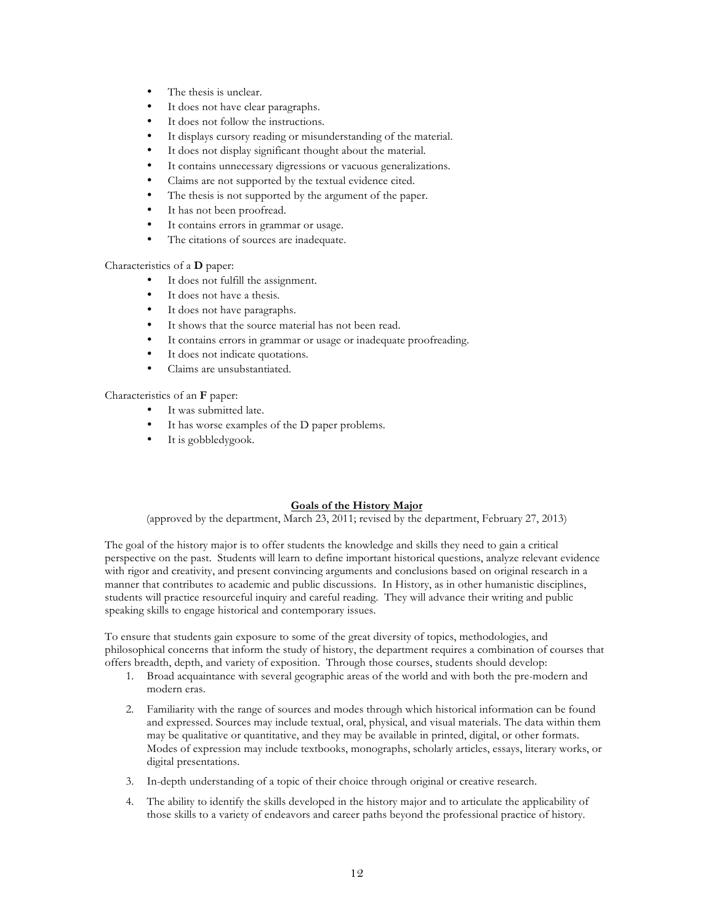- The thesis is unclear.
- It does not have clear paragraphs.
- It does not follow the instructions.
- It displays cursory reading or misunderstanding of the material.
- It does not display significant thought about the material.
- It contains unnecessary digressions or vacuous generalizations.
- Claims are not supported by the textual evidence cited.
- The thesis is not supported by the argument of the paper.
- It has not been proofread.
- It contains errors in grammar or usage.
- The citations of sources are inadequate.

#### Characteristics of a **D** paper:

- It does not fulfill the assignment.
- It does not have a thesis.
- It does not have paragraphs.
- It shows that the source material has not been read.
- It contains errors in grammar or usage or inadequate proofreading.
- It does not indicate quotations.
- Claims are unsubstantiated.

#### Characteristics of an **F** paper:

- It was submitted late.
- It has worse examples of the D paper problems.
- It is gobbledygook.

#### **Goals of the History Major**

(approved by the department, March 23, 2011; revised by the department, February 27, 2013)

The goal of the history major is to offer students the knowledge and skills they need to gain a critical perspective on the past. Students will learn to define important historical questions, analyze relevant evidence with rigor and creativity, and present convincing arguments and conclusions based on original research in a manner that contributes to academic and public discussions. In History, as in other humanistic disciplines, students will practice resourceful inquiry and careful reading. They will advance their writing and public speaking skills to engage historical and contemporary issues.

To ensure that students gain exposure to some of the great diversity of topics, methodologies, and philosophical concerns that inform the study of history, the department requires a combination of courses that offers breadth, depth, and variety of exposition. Through those courses, students should develop:

- 1. Broad acquaintance with several geographic areas of the world and with both the pre-modern and modern eras.
- 2. Familiarity with the range of sources and modes through which historical information can be found and expressed. Sources may include textual, oral, physical, and visual materials. The data within them may be qualitative or quantitative, and they may be available in printed, digital, or other formats. Modes of expression may include textbooks, monographs, scholarly articles, essays, literary works, or digital presentations.
- 3. In-depth understanding of a topic of their choice through original or creative research.
- 4. The ability to identify the skills developed in the history major and to articulate the applicability of those skills to a variety of endeavors and career paths beyond the professional practice of history.